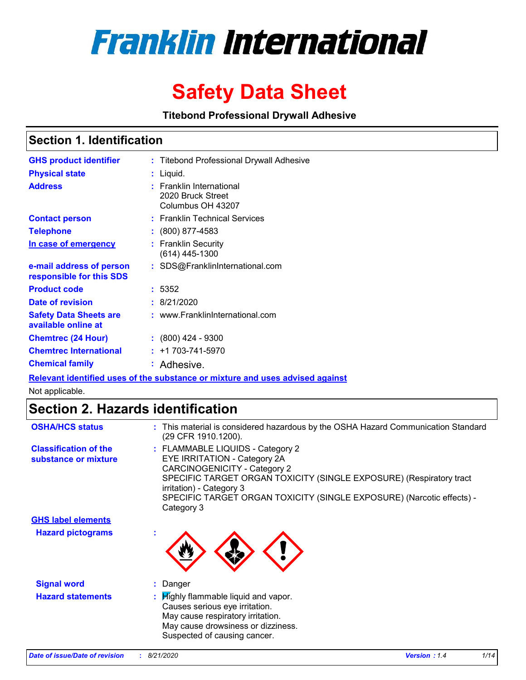

# **Safety Data Sheet**

**Titebond Professional Drywall Adhesive**

### **Section 1. Identification**

| <b>GHS product identifier</b>                        | : Titebond Professional Drywall Adhesive                           |
|------------------------------------------------------|--------------------------------------------------------------------|
| <b>Physical state</b>                                | $:$ Liquid.                                                        |
| <b>Address</b>                                       | : Franklin International<br>2020 Bruck Street<br>Columbus OH 43207 |
| <b>Contact person</b>                                | : Franklin Technical Services                                      |
| <b>Telephone</b>                                     | $: (800) 877 - 4583$                                               |
| In case of emergency                                 | : Franklin Security<br>(614) 445-1300                              |
| e-mail address of person<br>responsible for this SDS | : SDS@FranklinInternational.com                                    |
| <b>Product code</b>                                  | : 5352                                                             |
| Date of revision                                     | : 8/21/2020                                                        |
| <b>Safety Data Sheets are</b><br>available online at | : www.FranklinInternational.com                                    |
| <b>Chemtrec (24 Hour)</b>                            | $: (800)$ 424 - 9300                                               |
| <b>Chemtrec International</b>                        | $: +1703 - 741 - 5970$                                             |
| <b>Chemical family</b>                               | : Adhesive.                                                        |

**Relevant identified uses of the substance or mixture and uses advised against**

Not applicable.

### **Section 2. Hazards identification**

| <b>OSHA/HCS status</b>                               | : This material is considered hazardous by the OSHA Hazard Communication Standard<br>(29 CFR 1910.1200).                                                                                                                                                                                          |
|------------------------------------------------------|---------------------------------------------------------------------------------------------------------------------------------------------------------------------------------------------------------------------------------------------------------------------------------------------------|
| <b>Classification of the</b><br>substance or mixture | : FLAMMABLE LIQUIDS - Category 2<br>EYE IRRITATION - Category 2A<br><b>CARCINOGENICITY - Category 2</b><br>SPECIFIC TARGET ORGAN TOXICITY (SINGLE EXPOSURE) (Respiratory tract<br>irritation) - Category 3<br>SPECIFIC TARGET ORGAN TOXICITY (SINGLE EXPOSURE) (Narcotic effects) -<br>Category 3 |
| <b>GHS label elements</b>                            |                                                                                                                                                                                                                                                                                                   |
| <b>Hazard pictograms</b>                             |                                                                                                                                                                                                                                                                                                   |
| <b>Signal word</b>                                   | : Danger                                                                                                                                                                                                                                                                                          |
| <b>Hazard statements</b>                             | : Highly flammable liquid and vapor.<br>Causes serious eye irritation.<br>May cause respiratory irritation.<br>May cause drowsiness or dizziness.<br>Suspected of causing cancer.                                                                                                                 |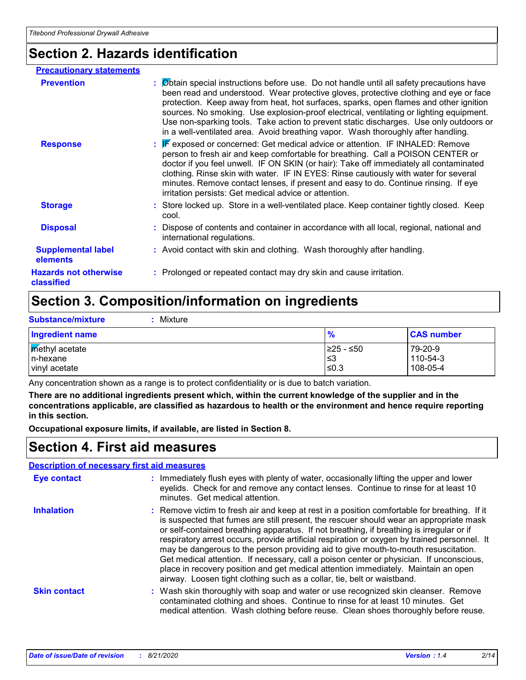### **Section 2. Hazards identification**

| <b>Precautionary statements</b>            |                                                                                                                                                                                                                                                                                                                                                                                                                                                                                                                                                       |
|--------------------------------------------|-------------------------------------------------------------------------------------------------------------------------------------------------------------------------------------------------------------------------------------------------------------------------------------------------------------------------------------------------------------------------------------------------------------------------------------------------------------------------------------------------------------------------------------------------------|
| <b>Prevention</b>                          | : Øbtain special instructions before use. Do not handle until all safety precautions have<br>been read and understood. Wear protective gloves, protective clothing and eye or face<br>protection. Keep away from heat, hot surfaces, sparks, open flames and other ignition<br>sources. No smoking. Use explosion-proof electrical, ventilating or lighting equipment.<br>Use non-sparking tools. Take action to prevent static discharges. Use only outdoors or<br>in a well-ventilated area. Avoid breathing vapor. Wash thoroughly after handling. |
| <b>Response</b>                            | : F exposed or concerned: Get medical advice or attention. IF INHALED: Remove<br>person to fresh air and keep comfortable for breathing. Call a POISON CENTER or<br>doctor if you feel unwell. IF ON SKIN (or hair): Take off immediately all contaminated<br>clothing. Rinse skin with water. IF IN EYES: Rinse cautiously with water for several<br>minutes. Remove contact lenses, if present and easy to do. Continue rinsing. If eye<br>irritation persists: Get medical advice or attention.                                                    |
| <b>Storage</b>                             | : Store locked up. Store in a well-ventilated place. Keep container tightly closed. Keep<br>cool.                                                                                                                                                                                                                                                                                                                                                                                                                                                     |
| <b>Disposal</b>                            | : Dispose of contents and container in accordance with all local, regional, national and<br>international regulations.                                                                                                                                                                                                                                                                                                                                                                                                                                |
| <b>Supplemental label</b><br>elements      | : Avoid contact with skin and clothing. Wash thoroughly after handling.                                                                                                                                                                                                                                                                                                                                                                                                                                                                               |
| <b>Hazards not otherwise</b><br>classified | : Prolonged or repeated contact may dry skin and cause irritation.                                                                                                                                                                                                                                                                                                                                                                                                                                                                                    |

# **Section 3. Composition/information on ingredients**

| <b>Substance/mixture</b>                            | Mixture |                            |                                 |
|-----------------------------------------------------|---------|----------------------------|---------------------------------|
| <b>Ingredient name</b>                              |         | $\frac{9}{6}$              | <b>CAS number</b>               |
| <b>Methyl</b> acetate<br>In-hexane<br>vinyl acetate |         | 225 - ≤50<br>'≤3<br>$≤0.3$ | 79-20-9<br>110-54-3<br>108-05-4 |

Any concentration shown as a range is to protect confidentiality or is due to batch variation.

**There are no additional ingredients present which, within the current knowledge of the supplier and in the concentrations applicable, are classified as hazardous to health or the environment and hence require reporting in this section.**

**Occupational exposure limits, if available, are listed in Section 8.**

### **Section 4. First aid measures**

|--|

| <b>Eye contact</b>  | : Immediately flush eyes with plenty of water, occasionally lifting the upper and lower<br>eyelids. Check for and remove any contact lenses. Continue to rinse for at least 10<br>minutes. Get medical attention.                                                                                                                                                                                                                                                                                                                                                                                                                                                                                                                    |
|---------------------|--------------------------------------------------------------------------------------------------------------------------------------------------------------------------------------------------------------------------------------------------------------------------------------------------------------------------------------------------------------------------------------------------------------------------------------------------------------------------------------------------------------------------------------------------------------------------------------------------------------------------------------------------------------------------------------------------------------------------------------|
| <b>Inhalation</b>   | : Remove victim to fresh air and keep at rest in a position comfortable for breathing. If it<br>is suspected that fumes are still present, the rescuer should wear an appropriate mask<br>or self-contained breathing apparatus. If not breathing, if breathing is irregular or if<br>respiratory arrest occurs, provide artificial respiration or oxygen by trained personnel. It<br>may be dangerous to the person providing aid to give mouth-to-mouth resuscitation.<br>Get medical attention. If necessary, call a poison center or physician. If unconscious,<br>place in recovery position and get medical attention immediately. Maintain an open<br>airway. Loosen tight clothing such as a collar, tie, belt or waistband. |
| <b>Skin contact</b> | : Wash skin thoroughly with soap and water or use recognized skin cleanser. Remove<br>contaminated clothing and shoes. Continue to rinse for at least 10 minutes. Get<br>medical attention. Wash clothing before reuse. Clean shoes thoroughly before reuse.                                                                                                                                                                                                                                                                                                                                                                                                                                                                         |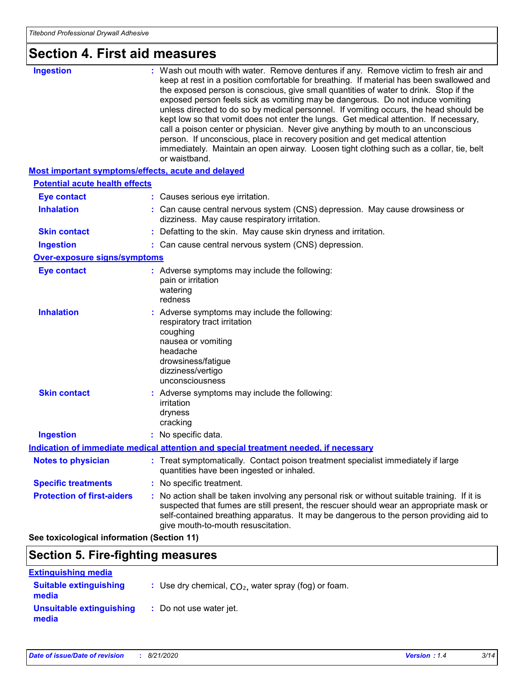# **Section 4. First aid measures**

| <b>Ingestion</b>                                   | : Wash out mouth with water. Remove dentures if any. Remove victim to fresh air and<br>keep at rest in a position comfortable for breathing. If material has been swallowed and<br>the exposed person is conscious, give small quantities of water to drink. Stop if the<br>exposed person feels sick as vomiting may be dangerous. Do not induce vomiting<br>unless directed to do so by medical personnel. If vomiting occurs, the head should be<br>kept low so that vomit does not enter the lungs. Get medical attention. If necessary,<br>call a poison center or physician. Never give anything by mouth to an unconscious<br>person. If unconscious, place in recovery position and get medical attention<br>immediately. Maintain an open airway. Loosen tight clothing such as a collar, tie, belt<br>or waistband. |
|----------------------------------------------------|-------------------------------------------------------------------------------------------------------------------------------------------------------------------------------------------------------------------------------------------------------------------------------------------------------------------------------------------------------------------------------------------------------------------------------------------------------------------------------------------------------------------------------------------------------------------------------------------------------------------------------------------------------------------------------------------------------------------------------------------------------------------------------------------------------------------------------|
| Most important symptoms/effects, acute and delayed |                                                                                                                                                                                                                                                                                                                                                                                                                                                                                                                                                                                                                                                                                                                                                                                                                               |
| <b>Potential acute health effects</b>              |                                                                                                                                                                                                                                                                                                                                                                                                                                                                                                                                                                                                                                                                                                                                                                                                                               |
| <b>Eye contact</b>                                 | : Causes serious eye irritation.                                                                                                                                                                                                                                                                                                                                                                                                                                                                                                                                                                                                                                                                                                                                                                                              |
| <b>Inhalation</b>                                  | : Can cause central nervous system (CNS) depression. May cause drowsiness or<br>dizziness. May cause respiratory irritation.                                                                                                                                                                                                                                                                                                                                                                                                                                                                                                                                                                                                                                                                                                  |
| <b>Skin contact</b>                                | : Defatting to the skin. May cause skin dryness and irritation.                                                                                                                                                                                                                                                                                                                                                                                                                                                                                                                                                                                                                                                                                                                                                               |
| <b>Ingestion</b>                                   | : Can cause central nervous system (CNS) depression.                                                                                                                                                                                                                                                                                                                                                                                                                                                                                                                                                                                                                                                                                                                                                                          |
| <b>Over-exposure signs/symptoms</b>                |                                                                                                                                                                                                                                                                                                                                                                                                                                                                                                                                                                                                                                                                                                                                                                                                                               |
| <b>Eye contact</b>                                 | : Adverse symptoms may include the following:<br>pain or irritation<br>watering<br>redness                                                                                                                                                                                                                                                                                                                                                                                                                                                                                                                                                                                                                                                                                                                                    |
| <b>Inhalation</b>                                  | : Adverse symptoms may include the following:<br>respiratory tract irritation<br>coughing<br>nausea or vomiting<br>headache<br>drowsiness/fatigue<br>dizziness/vertigo<br>unconsciousness                                                                                                                                                                                                                                                                                                                                                                                                                                                                                                                                                                                                                                     |
| <b>Skin contact</b>                                | : Adverse symptoms may include the following:<br>irritation<br>dryness<br>cracking                                                                                                                                                                                                                                                                                                                                                                                                                                                                                                                                                                                                                                                                                                                                            |
| <b>Ingestion</b>                                   | : No specific data.                                                                                                                                                                                                                                                                                                                                                                                                                                                                                                                                                                                                                                                                                                                                                                                                           |
|                                                    | Indication of immediate medical attention and special treatment needed, if necessary                                                                                                                                                                                                                                                                                                                                                                                                                                                                                                                                                                                                                                                                                                                                          |
| <b>Notes to physician</b>                          | : Treat symptomatically. Contact poison treatment specialist immediately if large<br>quantities have been ingested or inhaled.                                                                                                                                                                                                                                                                                                                                                                                                                                                                                                                                                                                                                                                                                                |
| <b>Specific treatments</b>                         | : No specific treatment.                                                                                                                                                                                                                                                                                                                                                                                                                                                                                                                                                                                                                                                                                                                                                                                                      |
| <b>Protection of first-aiders</b>                  | : No action shall be taken involving any personal risk or without suitable training. If it is<br>suspected that fumes are still present, the rescuer should wear an appropriate mask or<br>self-contained breathing apparatus. It may be dangerous to the person providing aid to<br>give mouth-to-mouth resuscitation.                                                                                                                                                                                                                                                                                                                                                                                                                                                                                                       |
| See toxicological information (Section 11)         |                                                                                                                                                                                                                                                                                                                                                                                                                                                                                                                                                                                                                                                                                                                                                                                                                               |

### **Section 5. Fire-fighting measures**

| <b>Extinguishing media</b>             |                                                        |
|----------------------------------------|--------------------------------------------------------|
| <b>Suitable extinguishing</b><br>media | : Use dry chemical, $CO2$ , water spray (fog) or foam. |
| Unsuitable extinguishing<br>media      | : Do not use water jet.                                |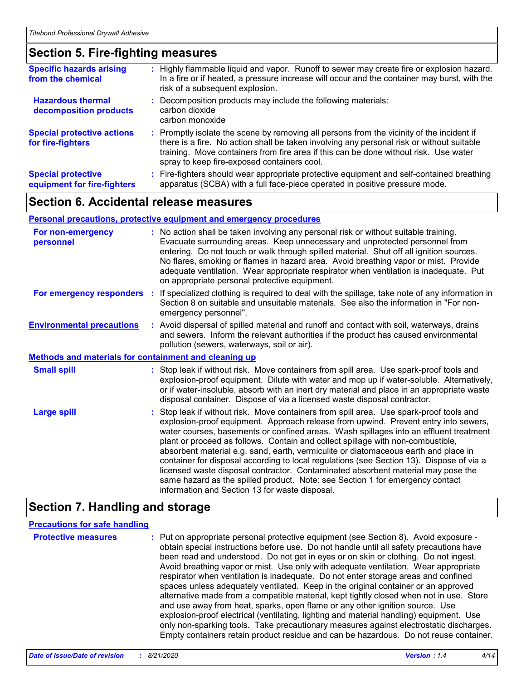### **Section 5. Fire-fighting measures**

| <b>Specific hazards arising</b><br>from the chemical     | : Highly flammable liquid and vapor. Runoff to sewer may create fire or explosion hazard.<br>In a fire or if heated, a pressure increase will occur and the container may burst, with the<br>risk of a subsequent explosion.                                                                                                  |
|----------------------------------------------------------|-------------------------------------------------------------------------------------------------------------------------------------------------------------------------------------------------------------------------------------------------------------------------------------------------------------------------------|
| <b>Hazardous thermal</b><br>decomposition products       | : Decomposition products may include the following materials:<br>carbon dioxide<br>carbon monoxide                                                                                                                                                                                                                            |
| <b>Special protective actions</b><br>for fire-fighters   | : Promptly isolate the scene by removing all persons from the vicinity of the incident if<br>there is a fire. No action shall be taken involving any personal risk or without suitable<br>training. Move containers from fire area if this can be done without risk. Use water<br>spray to keep fire-exposed containers cool. |
| <b>Special protective</b><br>equipment for fire-fighters | Fire-fighters should wear appropriate protective equipment and self-contained breathing<br>apparatus (SCBA) with a full face-piece operated in positive pressure mode.                                                                                                                                                        |

### **Section 6. Accidental release measures**

#### **Personal precautions, protective equipment and emergency procedures**

| For non-emergency<br>personnel                               | : No action shall be taken involving any personal risk or without suitable training.<br>Evacuate surrounding areas. Keep unnecessary and unprotected personnel from<br>entering. Do not touch or walk through spilled material. Shut off all ignition sources.<br>No flares, smoking or flames in hazard area. Avoid breathing vapor or mist. Provide<br>adequate ventilation. Wear appropriate respirator when ventilation is inadequate. Put<br>on appropriate personal protective equipment.                                                                                                                                                                                                                                                                      |  |
|--------------------------------------------------------------|----------------------------------------------------------------------------------------------------------------------------------------------------------------------------------------------------------------------------------------------------------------------------------------------------------------------------------------------------------------------------------------------------------------------------------------------------------------------------------------------------------------------------------------------------------------------------------------------------------------------------------------------------------------------------------------------------------------------------------------------------------------------|--|
| For emergency responders                                     | : If specialized clothing is required to deal with the spillage, take note of any information in<br>Section 8 on suitable and unsuitable materials. See also the information in "For non-<br>emergency personnel".                                                                                                                                                                                                                                                                                                                                                                                                                                                                                                                                                   |  |
| <b>Environmental precautions</b>                             | : Avoid dispersal of spilled material and runoff and contact with soil, waterways, drains<br>and sewers. Inform the relevant authorities if the product has caused environmental<br>pollution (sewers, waterways, soil or air).                                                                                                                                                                                                                                                                                                                                                                                                                                                                                                                                      |  |
| <b>Methods and materials for containment and cleaning up</b> |                                                                                                                                                                                                                                                                                                                                                                                                                                                                                                                                                                                                                                                                                                                                                                      |  |
| <b>Small spill</b>                                           | : Stop leak if without risk. Move containers from spill area. Use spark-proof tools and<br>explosion-proof equipment. Dilute with water and mop up if water-soluble. Alternatively,<br>or if water-insoluble, absorb with an inert dry material and place in an appropriate waste<br>disposal container. Dispose of via a licensed waste disposal contractor.                                                                                                                                                                                                                                                                                                                                                                                                        |  |
| <b>Large spill</b>                                           | : Stop leak if without risk. Move containers from spill area. Use spark-proof tools and<br>explosion-proof equipment. Approach release from upwind. Prevent entry into sewers,<br>water courses, basements or confined areas. Wash spillages into an effluent treatment<br>plant or proceed as follows. Contain and collect spillage with non-combustible,<br>absorbent material e.g. sand, earth, vermiculite or diatomaceous earth and place in<br>container for disposal according to local regulations (see Section 13). Dispose of via a<br>licensed waste disposal contractor. Contaminated absorbent material may pose the<br>same hazard as the spilled product. Note: see Section 1 for emergency contact<br>information and Section 13 for waste disposal. |  |

### **Section 7. Handling and storage**

#### **Precautions for safe handling**

**Protective measures** : Put on appropriate personal protective equipment (see Section 8). Avoid exposure obtain special instructions before use. Do not handle until all safety precautions have been read and understood. Do not get in eyes or on skin or clothing. Do not ingest. Avoid breathing vapor or mist. Use only with adequate ventilation. Wear appropriate respirator when ventilation is inadequate. Do not enter storage areas and confined spaces unless adequately ventilated. Keep in the original container or an approved alternative made from a compatible material, kept tightly closed when not in use. Store and use away from heat, sparks, open flame or any other ignition source. Use explosion-proof electrical (ventilating, lighting and material handling) equipment. Use only non-sparking tools. Take precautionary measures against electrostatic discharges. Empty containers retain product residue and can be hazardous. Do not reuse container.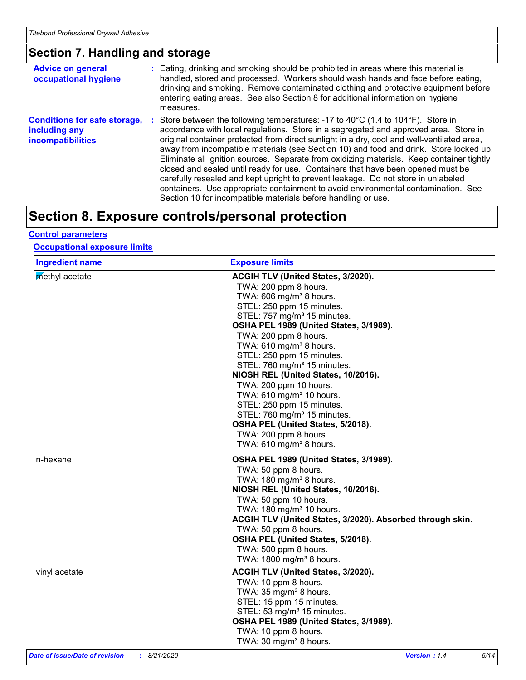# **Section 7. Handling and storage**

| <b>Advice on general</b><br>occupational hygiene                                 | : Eating, drinking and smoking should be prohibited in areas where this material is<br>handled, stored and processed. Workers should wash hands and face before eating,<br>drinking and smoking. Remove contaminated clothing and protective equipment before<br>entering eating areas. See also Section 8 for additional information on hygiene<br>measures.                                                                                                                                                                                                                                                                                                                                                                                                                                                     |
|----------------------------------------------------------------------------------|-------------------------------------------------------------------------------------------------------------------------------------------------------------------------------------------------------------------------------------------------------------------------------------------------------------------------------------------------------------------------------------------------------------------------------------------------------------------------------------------------------------------------------------------------------------------------------------------------------------------------------------------------------------------------------------------------------------------------------------------------------------------------------------------------------------------|
| <b>Conditions for safe storage,</b><br>including any<br><b>incompatibilities</b> | : Store between the following temperatures: -17 to 40 $^{\circ}$ C (1.4 to 104 $^{\circ}$ F). Store in<br>accordance with local regulations. Store in a segregated and approved area. Store in<br>original container protected from direct sunlight in a dry, cool and well-ventilated area,<br>away from incompatible materials (see Section 10) and food and drink. Store locked up.<br>Eliminate all ignition sources. Separate from oxidizing materials. Keep container tightly<br>closed and sealed until ready for use. Containers that have been opened must be<br>carefully resealed and kept upright to prevent leakage. Do not store in unlabeled<br>containers. Use appropriate containment to avoid environmental contamination. See<br>Section 10 for incompatible materials before handling or use. |

## **Section 8. Exposure controls/personal protection**

#### **Control parameters**

#### **Occupational exposure limits**

| <b>Ingredient name</b>    | <b>Exposure limits</b>                                                                                                                                                                                                                                                                                                                                                                                                                                                                                                                                                                                                                               |
|---------------------------|------------------------------------------------------------------------------------------------------------------------------------------------------------------------------------------------------------------------------------------------------------------------------------------------------------------------------------------------------------------------------------------------------------------------------------------------------------------------------------------------------------------------------------------------------------------------------------------------------------------------------------------------------|
| methyl acetate            | ACGIH TLV (United States, 3/2020).<br>TWA: 200 ppm 8 hours.<br>TWA: 606 mg/m <sup>3</sup> 8 hours.<br>STEL: 250 ppm 15 minutes.<br>STEL: 757 mg/m <sup>3</sup> 15 minutes.<br>OSHA PEL 1989 (United States, 3/1989).<br>TWA: 200 ppm 8 hours.<br>TWA: 610 mg/m <sup>3</sup> 8 hours.<br>STEL: 250 ppm 15 minutes.<br>STEL: 760 mg/m <sup>3</sup> 15 minutes.<br>NIOSH REL (United States, 10/2016).<br>TWA: 200 ppm 10 hours.<br>TWA: 610 mg/m <sup>3</sup> 10 hours.<br>STEL: 250 ppm 15 minutes.<br>STEL: 760 mg/m <sup>3</sup> 15 minutes.<br>OSHA PEL (United States, 5/2018).<br>TWA: 200 ppm 8 hours.<br>TWA: $610$ mg/m <sup>3</sup> 8 hours. |
| n-hexane<br>vinyl acetate | OSHA PEL 1989 (United States, 3/1989).<br>TWA: 50 ppm 8 hours.<br>TWA: 180 mg/m <sup>3</sup> 8 hours.<br>NIOSH REL (United States, 10/2016).<br>TWA: 50 ppm 10 hours.<br>TWA: 180 mg/m <sup>3</sup> 10 hours.<br>ACGIH TLV (United States, 3/2020). Absorbed through skin.<br>TWA: 50 ppm 8 hours.<br>OSHA PEL (United States, 5/2018).<br>TWA: 500 ppm 8 hours.<br>TWA: 1800 mg/m <sup>3</sup> 8 hours.<br>ACGIH TLV (United States, 3/2020).                                                                                                                                                                                                       |
|                           | TWA: 10 ppm 8 hours.<br>TWA: 35 mg/m <sup>3</sup> 8 hours.<br>STEL: 15 ppm 15 minutes.<br>STEL: 53 mg/m <sup>3</sup> 15 minutes.<br>OSHA PEL 1989 (United States, 3/1989).<br>TWA: 10 ppm 8 hours.<br>TWA: 30 mg/m <sup>3</sup> 8 hours.                                                                                                                                                                                                                                                                                                                                                                                                             |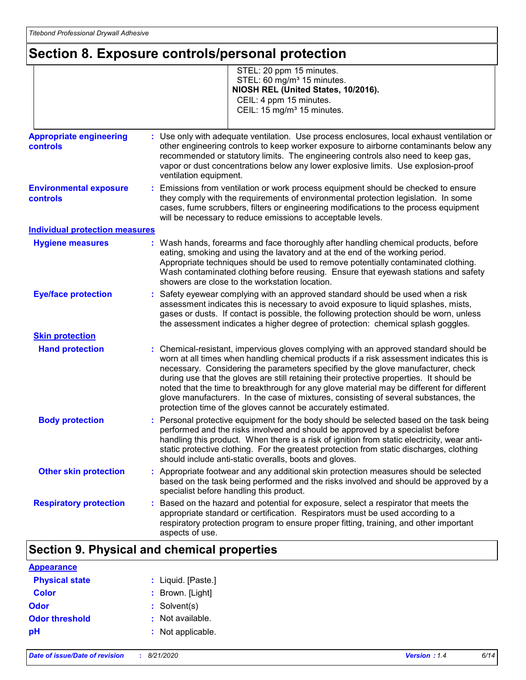## **Section 8. Exposure controls/personal protection**

|                                                   | STEL: 20 ppm 15 minutes.<br>STEL: 60 mg/m <sup>3</sup> 15 minutes.<br>NIOSH REL (United States, 10/2016).<br>CEIL: 4 ppm 15 minutes.<br>CEIL: 15 mg/m <sup>3</sup> 15 minutes.                                                                                                                                                                                                                                                                                                                                                                                                                                         |
|---------------------------------------------------|------------------------------------------------------------------------------------------------------------------------------------------------------------------------------------------------------------------------------------------------------------------------------------------------------------------------------------------------------------------------------------------------------------------------------------------------------------------------------------------------------------------------------------------------------------------------------------------------------------------------|
| <b>Appropriate engineering</b><br><b>controls</b> | : Use only with adequate ventilation. Use process enclosures, local exhaust ventilation or<br>other engineering controls to keep worker exposure to airborne contaminants below any<br>recommended or statutory limits. The engineering controls also need to keep gas,                                                                                                                                                                                                                                                                                                                                                |
|                                                   | vapor or dust concentrations below any lower explosive limits. Use explosion-proof<br>ventilation equipment.                                                                                                                                                                                                                                                                                                                                                                                                                                                                                                           |
| <b>Environmental exposure</b><br>controls         | : Emissions from ventilation or work process equipment should be checked to ensure<br>they comply with the requirements of environmental protection legislation. In some<br>cases, fume scrubbers, filters or engineering modifications to the process equipment<br>will be necessary to reduce emissions to acceptable levels.                                                                                                                                                                                                                                                                                        |
| <b>Individual protection measures</b>             |                                                                                                                                                                                                                                                                                                                                                                                                                                                                                                                                                                                                                        |
| <b>Hygiene measures</b>                           | : Wash hands, forearms and face thoroughly after handling chemical products, before<br>eating, smoking and using the lavatory and at the end of the working period.<br>Appropriate techniques should be used to remove potentially contaminated clothing.<br>Wash contaminated clothing before reusing. Ensure that eyewash stations and safety<br>showers are close to the workstation location.                                                                                                                                                                                                                      |
| <b>Eye/face protection</b>                        | Safety eyewear complying with an approved standard should be used when a risk<br>assessment indicates this is necessary to avoid exposure to liquid splashes, mists,<br>gases or dusts. If contact is possible, the following protection should be worn, unless<br>the assessment indicates a higher degree of protection: chemical splash goggles.                                                                                                                                                                                                                                                                    |
| <b>Skin protection</b>                            |                                                                                                                                                                                                                                                                                                                                                                                                                                                                                                                                                                                                                        |
| <b>Hand protection</b>                            | : Chemical-resistant, impervious gloves complying with an approved standard should be<br>worn at all times when handling chemical products if a risk assessment indicates this is<br>necessary. Considering the parameters specified by the glove manufacturer, check<br>during use that the gloves are still retaining their protective properties. It should be<br>noted that the time to breakthrough for any glove material may be different for different<br>glove manufacturers. In the case of mixtures, consisting of several substances, the<br>protection time of the gloves cannot be accurately estimated. |
| <b>Body protection</b>                            | : Personal protective equipment for the body should be selected based on the task being<br>performed and the risks involved and should be approved by a specialist before<br>handling this product. When there is a risk of ignition from static electricity, wear anti-<br>static protective clothing. For the greatest protection from static discharges, clothing<br>should include anti-static overalls, boots and gloves.                                                                                                                                                                                         |
| <b>Other skin protection</b>                      | : Appropriate footwear and any additional skin protection measures should be selected<br>based on the task being performed and the risks involved and should be approved by a<br>specialist before handling this product.                                                                                                                                                                                                                                                                                                                                                                                              |
| <b>Respiratory protection</b>                     | : Based on the hazard and potential for exposure, select a respirator that meets the<br>appropriate standard or certification. Respirators must be used according to a<br>respiratory protection program to ensure proper fitting, training, and other important<br>aspects of use.                                                                                                                                                                                                                                                                                                                                    |

### **Section 9. Physical and chemical properties**

| <b>Appearance</b>     |                    |
|-----------------------|--------------------|
| <b>Physical state</b> | : Liquid. [Paste.] |
| <b>Color</b>          | : Brown. [Light]   |
| Odor                  | $:$ Solvent(s)     |
| <b>Odor threshold</b> | : Not available.   |
| рH                    | : Not applicable.  |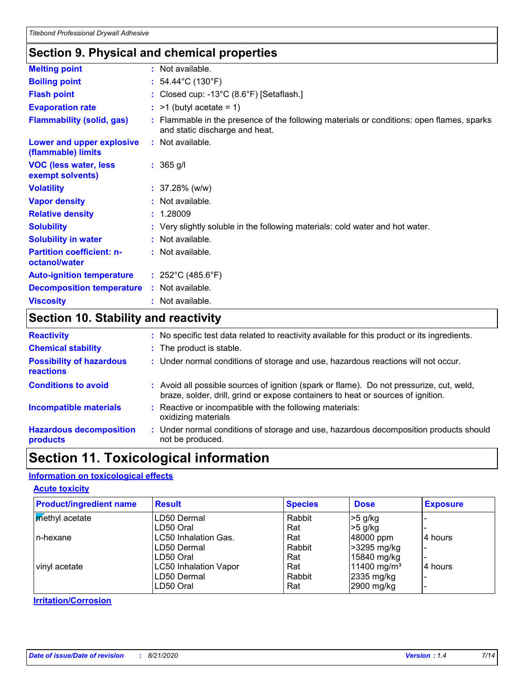### **Section 9. Physical and chemical properties**

| <b>Melting point</b>                              | : Not available.                                                                                                            |
|---------------------------------------------------|-----------------------------------------------------------------------------------------------------------------------------|
| <b>Boiling point</b>                              | : $54.44^{\circ}$ C (130 $^{\circ}$ F)                                                                                      |
| <b>Flash point</b>                                | : Closed cup: -13°C (8.6°F) [Setaflash.]                                                                                    |
| <b>Evaporation rate</b>                           | $:$ >1 (butyl acetate = 1)                                                                                                  |
| <b>Flammability (solid, gas)</b>                  | : Flammable in the presence of the following materials or conditions: open flames, sparks<br>and static discharge and heat. |
| Lower and upper explosive<br>(flammable) limits   | : Not available.                                                                                                            |
| <b>VOC (less water, less</b><br>exempt solvents)  | $: 365$ g/l                                                                                                                 |
| <b>Volatility</b>                                 | $: 37.28\%$ (w/w)                                                                                                           |
| <b>Vapor density</b>                              | : Not available.                                                                                                            |
| <b>Relative density</b>                           | : 1.28009                                                                                                                   |
| <b>Solubility</b>                                 | : Very slightly soluble in the following materials: cold water and hot water.                                               |
| <b>Solubility in water</b>                        | : Not available.                                                                                                            |
| <b>Partition coefficient: n-</b><br>octanol/water | : Not available.                                                                                                            |
| <b>Auto-ignition temperature</b>                  | : $252^{\circ}$ C (485.6 $^{\circ}$ F)                                                                                      |
| <b>Decomposition temperature</b>                  | : Not available.                                                                                                            |
| <b>Viscosity</b>                                  | : Not available.                                                                                                            |
|                                                   |                                                                                                                             |

### **Section 10. Stability and reactivity**

| <b>Reactivity</b>                            | : No specific test data related to reactivity available for this product or its ingredients.                                                                                 |
|----------------------------------------------|------------------------------------------------------------------------------------------------------------------------------------------------------------------------------|
| <b>Chemical stability</b>                    | : The product is stable.                                                                                                                                                     |
| <b>Possibility of hazardous</b><br>reactions | : Under normal conditions of storage and use, hazardous reactions will not occur.                                                                                            |
| <b>Conditions to avoid</b>                   | : Avoid all possible sources of ignition (spark or flame). Do not pressurize, cut, weld,<br>braze, solder, drill, grind or expose containers to heat or sources of ignition. |
| <b>Incompatible materials</b>                | Reactive or incompatible with the following materials:<br>oxidizing materials                                                                                                |
| <b>Hazardous decomposition</b><br>products   | Under normal conditions of storage and use, hazardous decomposition products should<br>not be produced.                                                                      |
|                                              |                                                                                                                                                                              |

## **Section 11. Toxicological information**

#### **Information on toxicological effects**

#### **Acute toxicity**

| <b>Product/ingredient name</b> | <b>Result</b>                | <b>Species</b> | <b>Dose</b>             | <b>Exposure</b> |
|--------------------------------|------------------------------|----------------|-------------------------|-----------------|
| <b>Methyl</b> acetate          | LD50 Dermal                  | Rabbit         | $>5$ g/kg               |                 |
|                                | LD50 Oral                    | Rat            | $>5$ g/kg               |                 |
| n-hexane                       | LC50 Inhalation Gas.         | Rat            | 48000 ppm               | 4 hours         |
|                                | LD50 Dermal                  | Rabbit         | >3295 mg/kg             |                 |
|                                | LD50 Oral                    | Rat            | 15840 mg/kg             |                 |
| vinyl acetate                  | <b>LC50 Inhalation Vapor</b> | Rat            | 11400 mg/m <sup>3</sup> | l4 hours        |
|                                | LD50 Dermal                  | Rabbit         | 2335 mg/kg              |                 |
|                                | LD50 Oral                    | Rat            | 2900 mg/kg              |                 |

#### **Irritation/Corrosion**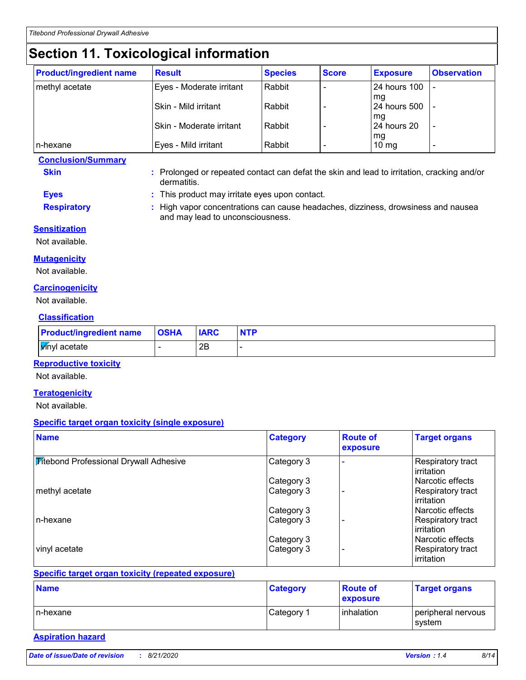## **Section 11. Toxicological information**

| <b>Product/ingredient name</b> | <b>Result</b>               | <b>Species</b> | <b>Score</b> | <b>Exposure</b>           | <b>Observation</b> |
|--------------------------------|-----------------------------|----------------|--------------|---------------------------|--------------------|
| methyl acetate                 | Eyes - Moderate irritant    | Rabbit         |              | <b>24 hours 100</b>       |                    |
|                                | <b>Skin - Mild irritant</b> | Rabbit         |              | mq<br><b>24 hours 500</b> |                    |
|                                | Skin - Moderate irritant    | Rabbit         |              | mg<br>24 hours 20         |                    |
| In-hexane                      | Eyes - Mild irritant        | Rabbit         |              | mg<br>$10 \text{ mg}$     |                    |

**Conclusion/Summary**

- **Skin :** Prolonged or repeated contact can defat the skin and lead to irritation, cracking and/or dermatitis.
- **Eyes :** This product may irritate eyes upon contact.

and may lead to unconsciousness.

- 
- **Respiratory :** High vapor concentrations can cause headaches, dizziness, drowsiness and nausea
- **Sensitization**
- Not available.

#### **Mutagenicity**

Not available.

#### **Carcinogenicity**

Not available.

#### **Classification**

| <b>Product/ingredient name</b> | <b>OSHA</b> | <b>IARC</b> | <b>NTP</b> |
|--------------------------------|-------------|-------------|------------|
| <b>V</b> inyl acetate          |             | 2Β          |            |

#### **Reproductive toxicity**

Not available.

#### **Teratogenicity**

Not available.

#### **Specific target organ toxicity (single exposure)**

| <b>Name</b>                                   | <b>Category</b> | <b>Route of</b><br>exposure | <b>Target organs</b>                   |
|-----------------------------------------------|-----------------|-----------------------------|----------------------------------------|
| <b>Fitebond Professional Drywall Adhesive</b> | Category 3      |                             | Respiratory tract<br>irritation        |
|                                               | Category 3      |                             | Narcotic effects                       |
| methyl acetate                                | Category 3      |                             | <b>Respiratory tract</b><br>irritation |
|                                               | Category 3      |                             | Narcotic effects                       |
| In-hexane                                     | Category 3      |                             | Respiratory tract<br>irritation        |
|                                               | Category 3      |                             | Narcotic effects                       |
| vinyl acetate                                 | Category 3      |                             | Respiratory tract<br>irritation        |

#### **Specific target organ toxicity (repeated exposure)**

| <b>Name</b> | <b>Category</b>        | <b>Route of</b><br>exposure | <b>Target organs</b>         |
|-------------|------------------------|-----------------------------|------------------------------|
| In-hexane   | ⊩Category <sup>→</sup> | l inhalation                | peripheral nervous<br>svstem |

#### **Aspiration hazard**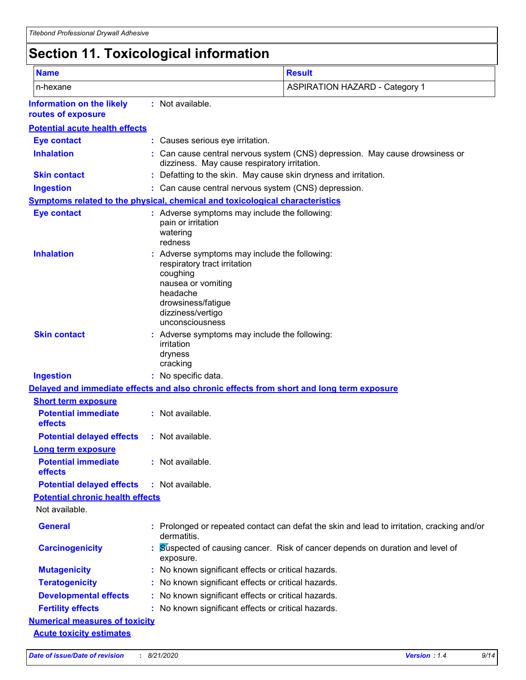# **Section 11. Toxicological information**

| <b>Name</b>                                                                  |                                                                                                                                          | <b>Result</b>                                                                              |
|------------------------------------------------------------------------------|------------------------------------------------------------------------------------------------------------------------------------------|--------------------------------------------------------------------------------------------|
| n-hexane                                                                     |                                                                                                                                          | <b>ASPIRATION HAZARD - Category 1</b>                                                      |
| <b>Information on the likely</b><br>routes of exposure                       | : Not available.                                                                                                                         |                                                                                            |
| <b>Potential acute health effects</b>                                        |                                                                                                                                          |                                                                                            |
| <b>Eye contact</b>                                                           | : Causes serious eye irritation.                                                                                                         |                                                                                            |
| <b>Inhalation</b>                                                            | dizziness. May cause respiratory irritation.                                                                                             | Can cause central nervous system (CNS) depression. May cause drowsiness or                 |
| <b>Skin contact</b>                                                          |                                                                                                                                          | Defatting to the skin. May cause skin dryness and irritation.                              |
| <b>Ingestion</b>                                                             |                                                                                                                                          | : Can cause central nervous system (CNS) depression.                                       |
| Symptoms related to the physical, chemical and toxicological characteristics |                                                                                                                                          |                                                                                            |
| <b>Eye contact</b>                                                           | : Adverse symptoms may include the following:<br>pain or irritation<br>watering<br>redness                                               |                                                                                            |
| <b>Inhalation</b>                                                            | respiratory tract irritation<br>coughing<br>nausea or vomiting<br>headache<br>drowsiness/fatigue<br>dizziness/vertigo<br>unconsciousness | Adverse symptoms may include the following:                                                |
| <b>Skin contact</b>                                                          | irritation<br>dryness<br>cracking                                                                                                        | Adverse symptoms may include the following:                                                |
| <b>Ingestion</b>                                                             | : No specific data.                                                                                                                      |                                                                                            |
|                                                                              |                                                                                                                                          | Delayed and immediate effects and also chronic effects from short and long term exposure   |
| <b>Short term exposure</b>                                                   |                                                                                                                                          |                                                                                            |
| <b>Potential immediate</b><br>effects                                        | : Not available.                                                                                                                         |                                                                                            |
| <b>Potential delayed effects</b>                                             | : Not available.                                                                                                                         |                                                                                            |
| <b>Long term exposure</b>                                                    |                                                                                                                                          |                                                                                            |
| <b>Potential immediate</b><br>effects                                        | : Not available.                                                                                                                         |                                                                                            |
| <b>Potential delayed effects</b>                                             | : Not available.                                                                                                                         |                                                                                            |
| <b>Potential chronic health effects</b><br>Not available.                    |                                                                                                                                          |                                                                                            |
| <b>General</b>                                                               | dermatitis.                                                                                                                              | : Prolonged or repeated contact can defat the skin and lead to irritation, cracking and/or |
| <b>Carcinogenicity</b>                                                       | exposure.                                                                                                                                | Suspected of causing cancer. Risk of cancer depends on duration and level of               |
| <b>Mutagenicity</b>                                                          |                                                                                                                                          | : No known significant effects or critical hazards.                                        |
| <b>Teratogenicity</b>                                                        |                                                                                                                                          | No known significant effects or critical hazards.                                          |
| <b>Developmental effects</b>                                                 |                                                                                                                                          | : No known significant effects or critical hazards.                                        |
| <b>Fertility effects</b>                                                     |                                                                                                                                          | : No known significant effects or critical hazards.                                        |
| <b>Numerical measures of toxicity</b>                                        |                                                                                                                                          |                                                                                            |
| <b>Acute toxicity estimates</b>                                              |                                                                                                                                          |                                                                                            |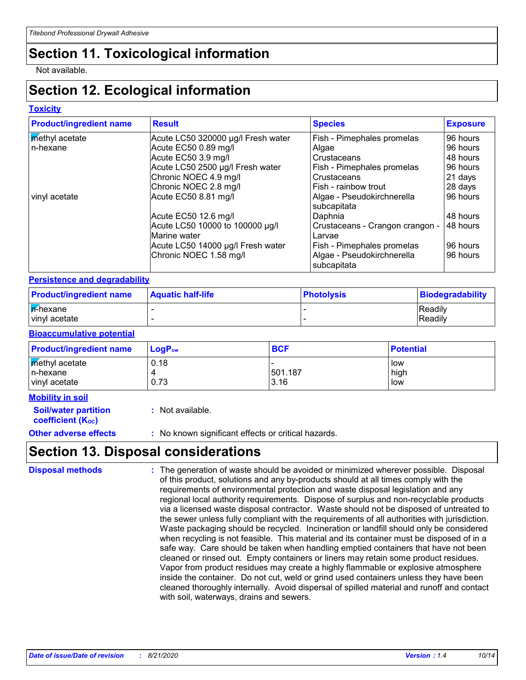# **Section 11. Toxicological information**

Not available.

# **Section 12. Ecological information**

### **Toxicity**

| <b>Product/ingredient name</b> | <b>Result</b>                                               | <b>Species</b>                                                          | <b>Exposure</b>      |
|--------------------------------|-------------------------------------------------------------|-------------------------------------------------------------------------|----------------------|
| methyl acetate                 | Acute LC50 320000 µg/l Fresh water                          | Fish - Pimephales promelas                                              | 96 hours             |
| n-hexane                       | Acute EC50 0.89 mg/l                                        | Algae                                                                   | 96 hours             |
|                                | Acute EC50 3.9 mg/l                                         | Crustaceans                                                             | 48 hours             |
|                                | Acute LC50 2500 µg/l Fresh water                            | Fish - Pimephales promelas                                              | 96 hours             |
|                                | Chronic NOEC 4.9 mg/l                                       | Crustaceans                                                             | 21 days              |
|                                | Chronic NOEC 2.8 mg/l                                       | Fish - rainbow trout                                                    | 28 days              |
| vinyl acetate                  | Acute EC50 8.81 mg/l                                        | Algae - Pseudokirchnerella<br>subcapitata                               | 96 hours             |
|                                | Acute EC50 12.6 mg/l                                        | Daphnia                                                                 | 48 hours             |
|                                | Acute LC50 10000 to 100000 µg/l<br>Marine water             | Crustaceans - Crangon crangon -<br>Larvae                               | 48 hours             |
|                                | Acute LC50 14000 µg/l Fresh water<br>Chronic NOEC 1.58 mg/l | Fish - Pimephales promelas<br>Algae - Pseudokirchnerella<br>subcapitata | 96 hours<br>96 hours |

### **Persistence and degradability**

| <b>Product/ingredient name</b> | <b>Aquatic half-life</b> | <b>Photolysis</b> | Biodegradability |
|--------------------------------|--------------------------|-------------------|------------------|
| <b>A</b> -hexane               |                          |                   | <b>IReadily</b>  |
| vinvl acetate                  |                          |                   | Readily          |

#### **Bioaccumulative potential**

| <b>Product/ingredient name</b>                     | $LogP_{ow}$  | <b>BCF</b>      | <b>Potential</b>   |
|----------------------------------------------------|--------------|-----------------|--------------------|
| <b>Methyl</b> acetate<br>n-hexane<br>vinyl acetate | 0.18<br>0.73 | 501.187<br>3.16 | low<br>high<br>low |

| <b>Mobility in soil</b>      |                                                     |
|------------------------------|-----------------------------------------------------|
| <b>Soil/water partition</b>  | : Not available.                                    |
| <b>coefficient (Koc)</b>     |                                                     |
| <b>Other adverse effects</b> | : No known significant effects or critical hazards. |

## **Section 13. Disposal considerations**

| <b>Disposal methods</b> | : The generation of waste should be avoided or minimized wherever possible. Disposal<br>of this product, solutions and any by-products should at all times comply with the<br>requirements of environmental protection and waste disposal legislation and any<br>regional local authority requirements. Dispose of surplus and non-recyclable products<br>via a licensed waste disposal contractor. Waste should not be disposed of untreated to<br>the sewer unless fully compliant with the requirements of all authorities with jurisdiction.<br>Waste packaging should be recycled. Incineration or landfill should only be considered<br>when recycling is not feasible. This material and its container must be disposed of in a<br>safe way. Care should be taken when handling emptied containers that have not been<br>cleaned or rinsed out. Empty containers or liners may retain some product residues.<br>Vapor from product residues may create a highly flammable or explosive atmosphere<br>inside the container. Do not cut, weld or grind used containers unless they have been |
|-------------------------|---------------------------------------------------------------------------------------------------------------------------------------------------------------------------------------------------------------------------------------------------------------------------------------------------------------------------------------------------------------------------------------------------------------------------------------------------------------------------------------------------------------------------------------------------------------------------------------------------------------------------------------------------------------------------------------------------------------------------------------------------------------------------------------------------------------------------------------------------------------------------------------------------------------------------------------------------------------------------------------------------------------------------------------------------------------------------------------------------|
|                         | cleaned thoroughly internally. Avoid dispersal of spilled material and runoff and contact<br>with soil, waterways, drains and sewers.                                                                                                                                                                                                                                                                                                                                                                                                                                                                                                                                                                                                                                                                                                                                                                                                                                                                                                                                                             |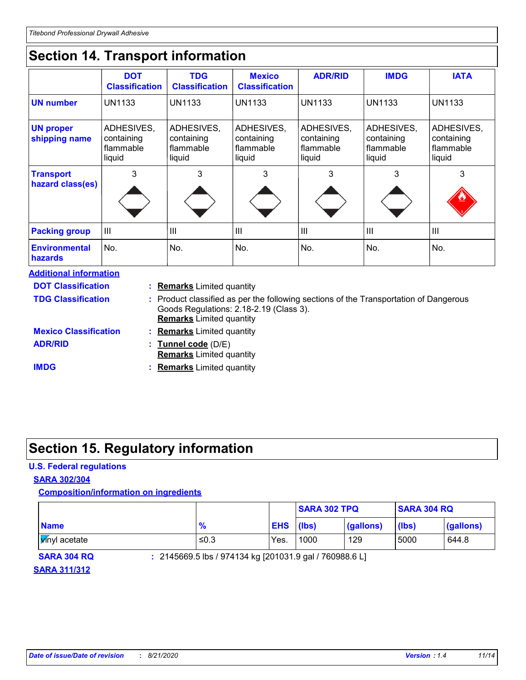# **Section 14. Transport information**

|                                        | <b>DOT</b><br><b>Classification</b>             | <b>TDG</b><br><b>Classification</b>             | <b>Mexico</b><br><b>Classification</b>          | <b>ADR/RID</b>                                  | <b>IMDG</b>                                     | <b>IATA</b>                                     |
|----------------------------------------|-------------------------------------------------|-------------------------------------------------|-------------------------------------------------|-------------------------------------------------|-------------------------------------------------|-------------------------------------------------|
| <b>UN number</b>                       | <b>UN1133</b>                                   | <b>UN1133</b>                                   | <b>UN1133</b>                                   | <b>UN1133</b>                                   | <b>UN1133</b>                                   | <b>UN1133</b>                                   |
| <b>UN proper</b><br>shipping name      | ADHESIVES,<br>containing<br>flammable<br>liquid | ADHESIVES,<br>containing<br>flammable<br>liquid | ADHESIVES,<br>containing<br>flammable<br>liquid | ADHESIVES,<br>containing<br>flammable<br>liquid | ADHESIVES,<br>containing<br>flammable<br>liquid | ADHESIVES,<br>containing<br>flammable<br>liquid |
| <b>Transport</b><br>hazard class(es)   | 3                                               | 3                                               | 3                                               | 3                                               | 3                                               | 3                                               |
| <b>Packing group</b>                   | III                                             | III                                             | III                                             | $\mathbf{III}$                                  | $\mathbf{III}$                                  | $\mathbf{III}$                                  |
| <b>Environmental</b><br><b>hazards</b> | No.                                             | No.                                             | No.                                             | No.                                             | No.                                             | No.                                             |

| <b>Additional information</b> |                                                                                                                                                                     |
|-------------------------------|---------------------------------------------------------------------------------------------------------------------------------------------------------------------|
| <b>DOT Classification</b>     | : Remarks Limited quantity                                                                                                                                          |
| <b>TDG Classification</b>     | : Product classified as per the following sections of the Transportation of Dangerous<br>Goods Regulations: 2.18-2.19 (Class 3).<br><b>Remarks</b> Limited quantity |
| <b>Mexico Classification</b>  | : Remarks Limited quantity                                                                                                                                          |
| <b>ADR/RID</b>                | : Tunnel code (D/E)<br><b>Remarks</b> Limited quantity                                                                                                              |
| <b>IMDG</b>                   | <b>Remarks</b> Limited quantity                                                                                                                                     |

### **Section 15. Regulatory information**

### **U.S. Federal regulations**

#### **SARA 302/304**

### **Composition/information on ingredients**

|                         |               |            | <b>SARA 302 TPQ</b> |           | <b>SARA 304 RQ</b> |           |
|-------------------------|---------------|------------|---------------------|-----------|--------------------|-----------|
| <b>Name</b>             | $\frac{9}{6}$ | <b>EHS</b> | $(\mathsf{lbs})$    | (gallons) | (lbs)              | (gallons) |
| l <b>y</b> ínyl acetate | ≤0.3          | Yes.       | 1000                | 129       | 5000               | 644.8     |

**SARA 304 RQ :** 2145669.5 lbs / 974134 kg [201031.9 gal / 760988.6 L]

### **SARA 311/312**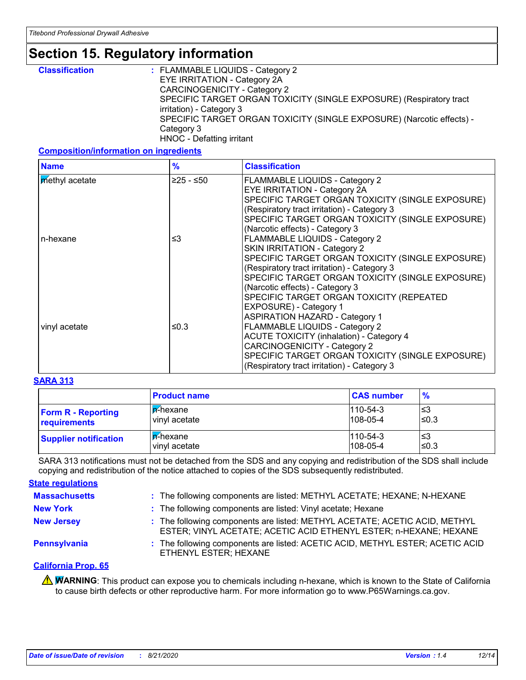## **Section 15. Regulatory information**

| <b>Classification</b> | : FLAMMABLE LIQUIDS - Category 2                                      |
|-----------------------|-----------------------------------------------------------------------|
|                       | EYE IRRITATION - Category 2A                                          |
|                       | CARCINOGENICITY - Category 2                                          |
|                       | SPECIFIC TARGET ORGAN TOXICITY (SINGLE EXPOSURE) (Respiratory tract   |
|                       | irritation) - Category 3                                              |
|                       | SPECIFIC TARGET ORGAN TOXICITY (SINGLE EXPOSURE) (Narcotic effects) - |
|                       | Category 3                                                            |
|                       | HNOC - Defatting irritant                                             |

#### **Composition/information on ingredients**

| <b>Name</b>    | $\frac{9}{6}$ | <b>Classification</b>                                                                                                                                                                                                                                                                                                                                                         |
|----------------|---------------|-------------------------------------------------------------------------------------------------------------------------------------------------------------------------------------------------------------------------------------------------------------------------------------------------------------------------------------------------------------------------------|
| methyl acetate | ≥25 - ≤50     | FLAMMABLE LIQUIDS - Category 2<br><b>EYE IRRITATION - Category 2A</b><br>SPECIFIC TARGET ORGAN TOXICITY (SINGLE EXPOSURE)<br>(Respiratory tract irritation) - Category 3<br>SPECIFIC TARGET ORGAN TOXICITY (SINGLE EXPOSURE)<br>(Narcotic effects) - Category 3                                                                                                               |
| n-hexane       | ≤3            | FLAMMABLE LIQUIDS - Category 2<br>SKIN IRRITATION - Category 2<br>SPECIFIC TARGET ORGAN TOXICITY (SINGLE EXPOSURE)<br>(Respiratory tract irritation) - Category 3<br>SPECIFIC TARGET ORGAN TOXICITY (SINGLE EXPOSURE)                                                                                                                                                         |
| vinyl acetate  | ≤0.3          | (Narcotic effects) - Category 3<br>SPECIFIC TARGET ORGAN TOXICITY (REPEATED<br>EXPOSURE) - Category 1<br><b>ASPIRATION HAZARD - Category 1</b><br>FLAMMABLE LIQUIDS - Category 2<br><b>ACUTE TOXICITY (inhalation) - Category 4</b><br><b>CARCINOGENICITY - Category 2</b><br>SPECIFIC TARGET ORGAN TOXICITY (SINGLE EXPOSURE)<br>(Respiratory tract irritation) - Category 3 |

#### **SARA 313**

|                              | <b>Product name</b> | <b>CAS number</b> | $\frac{9}{6}$ |
|------------------------------|---------------------|-------------------|---------------|
| <b>Form R - Reporting</b>    | <b>In-hexane</b>    | $110 - 54 - 3$    | '≤3           |
| requirements                 | vinyl acetate       | $108 - 05 - 4$    | l≤0.3         |
| <b>Supplier notification</b> | <b>In-hexane</b>    | $110 - 54 - 3$    | '≤3           |
|                              | vinyl acetate       | $108 - 05 - 4$    | ≤0.3          |

SARA 313 notifications must not be detached from the SDS and any copying and redistribution of the SDS shall include copying and redistribution of the notice attached to copies of the SDS subsequently redistributed.

#### **State regulations**

| <b>Massachusetts</b> | : The following components are listed: METHYL ACETATE; HEXANE; N-HEXANE                                                                         |
|----------------------|-------------------------------------------------------------------------------------------------------------------------------------------------|
| <b>New York</b>      | : The following components are listed: Vinyl acetate; Hexane                                                                                    |
| <b>New Jersey</b>    | : The following components are listed: METHYL ACETATE; ACETIC ACID, METHYL<br>ESTER; VINYL ACETATE; ACETIC ACID ETHENYL ESTER; n-HEXANE; HEXANE |
| Pennsylvania         | : The following components are listed: ACETIC ACID, METHYL ESTER; ACETIC ACID<br>ETHENYL ESTER; HEXANE                                          |

#### **California Prop. 65**

**A WARNING**: This product can expose you to chemicals including n-hexane, which is known to the State of California to cause birth defects or other reproductive harm. For more information go to www.P65Warnings.ca.gov.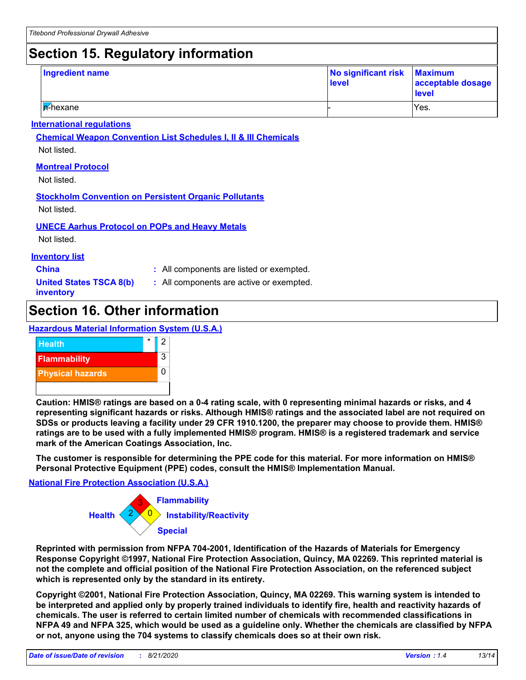# **Section 15. Regulatory information**

| <b>Ingredient name</b> | No significant risk Maximum<br>level | acceptable dosage<br>level |
|------------------------|--------------------------------------|----------------------------|
| In-hexane              |                                      | IYes.                      |

#### **International regulations**

**Chemical Weapon Convention List Schedules I, II & III Chemicals** Not listed.

#### **Montreal Protocol**

Not listed.

#### **Stockholm Convention on Persistent Organic Pollutants**

Not listed.

#### **UNECE Aarhus Protocol on POPs and Heavy Metals**

Not listed.

#### **Inventory list**

**China :** All components are listed or exempted.

**United States TSCA 8(b) inventory**

**:** All components are active or exempted.

### **Section 16. Other information**

**Hazardous Material Information System (U.S.A.)**



**Caution: HMIS® ratings are based on a 0-4 rating scale, with 0 representing minimal hazards or risks, and 4 representing significant hazards or risks. Although HMIS® ratings and the associated label are not required on SDSs or products leaving a facility under 29 CFR 1910.1200, the preparer may choose to provide them. HMIS® ratings are to be used with a fully implemented HMIS® program. HMIS® is a registered trademark and service mark of the American Coatings Association, Inc.**

**The customer is responsible for determining the PPE code for this material. For more information on HMIS® Personal Protective Equipment (PPE) codes, consult the HMIS® Implementation Manual.**

#### **National Fire Protection Association (U.S.A.)**



**Reprinted with permission from NFPA 704-2001, Identification of the Hazards of Materials for Emergency Response Copyright ©1997, National Fire Protection Association, Quincy, MA 02269. This reprinted material is not the complete and official position of the National Fire Protection Association, on the referenced subject which is represented only by the standard in its entirety.**

**Copyright ©2001, National Fire Protection Association, Quincy, MA 02269. This warning system is intended to be interpreted and applied only by properly trained individuals to identify fire, health and reactivity hazards of chemicals. The user is referred to certain limited number of chemicals with recommended classifications in NFPA 49 and NFPA 325, which would be used as a guideline only. Whether the chemicals are classified by NFPA or not, anyone using the 704 systems to classify chemicals does so at their own risk.**